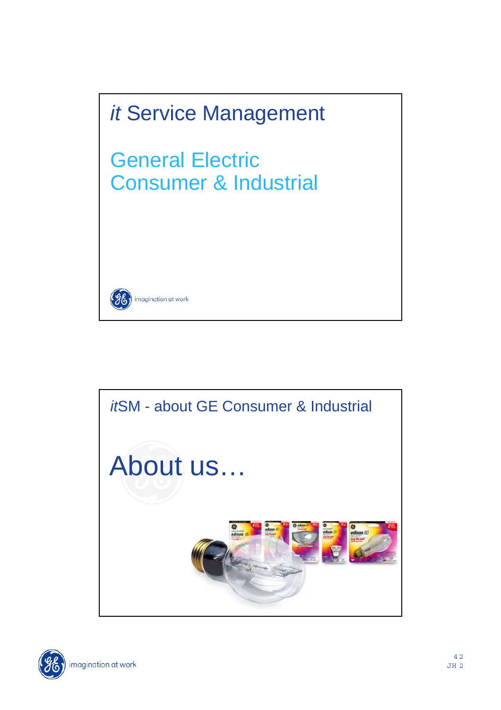



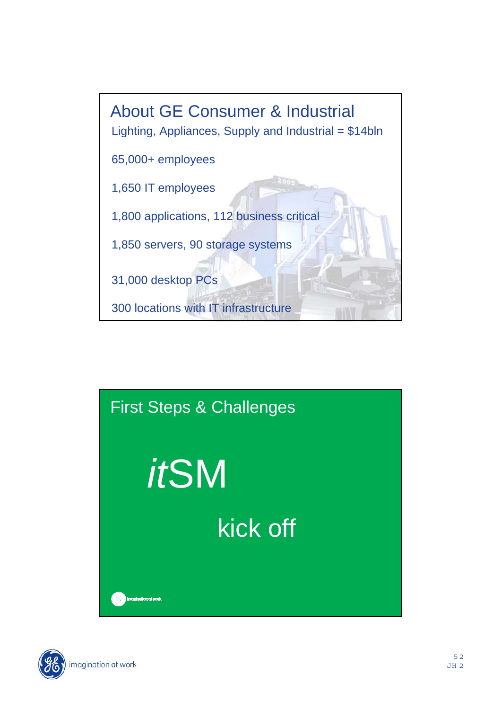



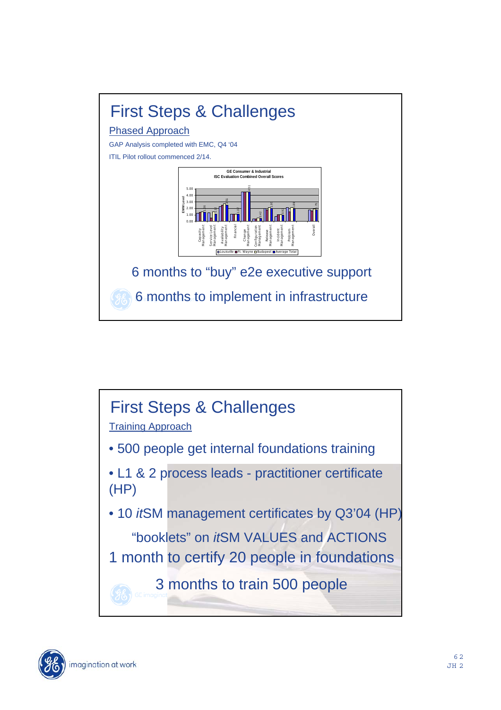



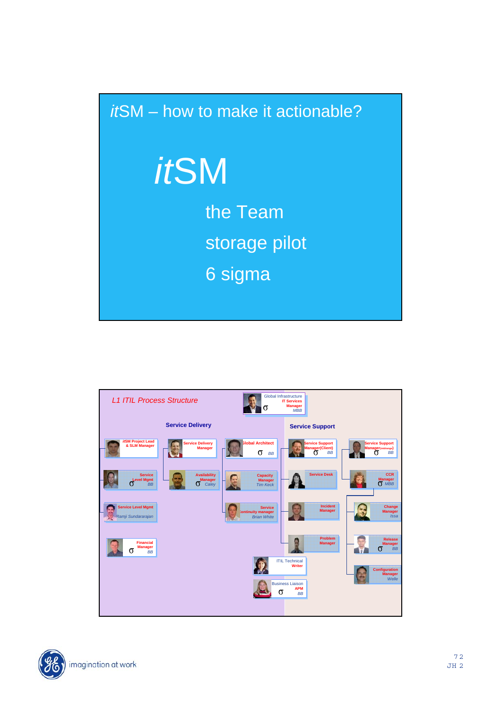## *it*SM – how to make it actionable? *it*SM the Team storage pilot 6 sigma



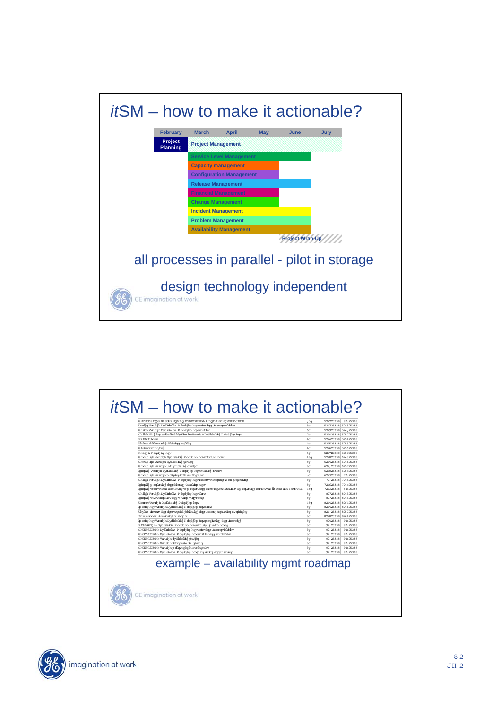

|                                                                                                                                                                                                                                                                                                                                                                                                                                                                                                                    | ; 5q                                                                                                                                                           | 524725338 92:25338                                                                                                                                                                          |  |
|--------------------------------------------------------------------------------------------------------------------------------------------------------------------------------------------------------------------------------------------------------------------------------------------------------------------------------------------------------------------------------------------------------------------------------------------------------------------------------------------------------------------|----------------------------------------------------------------------------------------------------------------------------------------------------------------|---------------------------------------------------------------------------------------------------------------------------------------------------------------------------------------------|--|
| Dvvljq Vwudjh Dydlale bw P dqdjhp hqwurduv dqq uhvsrqvle blwhv                                                                                                                                                                                                                                                                                                                                                                                                                                                     | 5 <sub>a</sub>                                                                                                                                                 | 524725338 524825338                                                                                                                                                                         |  |
| Ghilph Vwudjh Dvdlole bw P dodjho howsrdflhv<br>Ghibh VR [ fro soblofh dfwMahv in:Wandjh Dvdlale blw P dodjho how                                                                                                                                                                                                                                                                                                                                                                                                  | 60<br>7 <sub>a</sub>                                                                                                                                           | 524925338 524:25338<br>525425338 525725338                                                                                                                                                  |  |
| FREM fullmid                                                                                                                                                                                                                                                                                                                                                                                                                                                                                                       | 4 <sub>G</sub>                                                                                                                                                 | 525425338 525425338                                                                                                                                                                         |  |
| Vhfxih dffhw ek vifdadga ar ilfdq                                                                                                                                                                                                                                                                                                                                                                                                                                                                                  | 4 <sub>G</sub>                                                                                                                                                 | 525525338 525525338                                                                                                                                                                         |  |
| Glydyduninfrybul                                                                                                                                                                                                                                                                                                                                                                                                                                                                                                   | 4 <sub>G</sub>                                                                                                                                                 | 525625338 525625338                                                                                                                                                                         |  |
| Fkdqjh P dqdjhp hqw                                                                                                                                                                                                                                                                                                                                                                                                                                                                                                | 4 <sub>G</sub>                                                                                                                                                 | 525725338 525725338                                                                                                                                                                         |  |
| Ghwhup lgh Vwrudjh Dydladeldw  P dqdjhp hqw.htxlinp hqwr                                                                                                                                                                                                                                                                                                                                                                                                                                                           | 43q                                                                                                                                                            | 525825338 624325338                                                                                                                                                                         |  |
| Ghwhup lah wandih dvdlakeldwl ahvlia                                                                                                                                                                                                                                                                                                                                                                                                                                                                               | 8 <sub>z</sub>                                                                                                                                                 | 624425338 624:25338                                                                                                                                                                         |  |
| Ghwhup lgh wandjh uhfryhudeldw  ghvljg                                                                                                                                                                                                                                                                                                                                                                                                                                                                             | 8q                                                                                                                                                             | 624; 25338 625725338                                                                                                                                                                        |  |
| Ishqwill Vwrudjh Dydkelekw P dqdjhp hqwvhfxulw lvoxhv                                                                                                                                                                                                                                                                                                                                                                                                                                                              | 6q                                                                                                                                                             | 625825338 625<25338                                                                                                                                                                         |  |
| Ghwhup lgh weud jh p dlgwhqdqfh surfhqachv                                                                                                                                                                                                                                                                                                                                                                                                                                                                         | :q                                                                                                                                                             | 626325338 72:25338                                                                                                                                                                          |  |
| Ghilgh Wandjh Dydlaleldw  P dodjhp how hsruw wkdwohho wr eh jhohudwho                                                                                                                                                                                                                                                                                                                                                                                                                                              | 60                                                                                                                                                             | 72:25338 724525338                                                                                                                                                                          |  |
| Ishqvili propletiloj dog dobuvioj uhtxlinp how                                                                                                                                                                                                                                                                                                                                                                                                                                                                     | 8 <sub>z</sub>                                                                                                                                                 | 724625338 724<25338                                                                                                                                                                         |  |
| Ishqvili] verov vkdwz læeh xvhq ve p rqlveudqq ddnuv-hqvxdh vkhdh lv d p rqlveulpj surfhvv ve Šz dvfk vkh z dvfkhuõ,                                                                                                                                                                                                                                                                                                                                                                                               | 43 <sub>0</sub>                                                                                                                                                | 725325338 82625338                                                                                                                                                                          |  |
| Ghilgh Vwrudjh Dydlale blw P dodjhp howSlow                                                                                                                                                                                                                                                                                                                                                                                                                                                                        | 8 <sub>G</sub>                                                                                                                                                 | 82725338 824325338                                                                                                                                                                          |  |
| Ishqvili vhwvfhqdulrvdqqv vhp v byrqhq                                                                                                                                                                                                                                                                                                                                                                                                                                                                             | 8 <sub>G</sub>                                                                                                                                                 | 82725338 824325338                                                                                                                                                                          |  |
| UromxwWeudjh Dydkole bw P dopdjhp how                                                                                                                                                                                                                                                                                                                                                                                                                                                                              | 48 <sub>7</sub>                                                                                                                                                | 824425338 826425338                                                                                                                                                                         |  |
| In some how/vend in Dvollaie blvl P docking howSlaw                                                                                                                                                                                                                                                                                                                                                                                                                                                                | 8 <sub>a</sub>                                                                                                                                                 | 824425338 824:25338                                                                                                                                                                         |  |
| Uhylhz únoxow dag danzwadwa jalwihulaj dag uhsmwijhahudwlna dv ahhaha                                                                                                                                                                                                                                                                                                                                                                                                                                              | 8 <sub>G</sub>                                                                                                                                                 | 824:25338 825725338                                                                                                                                                                         |  |
|                                                                                                                                                                                                                                                                                                                                                                                                                                                                                                                    |                                                                                                                                                                |                                                                                                                                                                                             |  |
|                                                                                                                                                                                                                                                                                                                                                                                                                                                                                                                    |                                                                                                                                                                |                                                                                                                                                                                             |  |
|                                                                                                                                                                                                                                                                                                                                                                                                                                                                                                                    |                                                                                                                                                                |                                                                                                                                                                                             |  |
|                                                                                                                                                                                                                                                                                                                                                                                                                                                                                                                    |                                                                                                                                                                |                                                                                                                                                                                             |  |
|                                                                                                                                                                                                                                                                                                                                                                                                                                                                                                                    |                                                                                                                                                                |                                                                                                                                                                                             |  |
|                                                                                                                                                                                                                                                                                                                                                                                                                                                                                                                    |                                                                                                                                                                |                                                                                                                                                                                             |  |
|                                                                                                                                                                                                                                                                                                                                                                                                                                                                                                                    |                                                                                                                                                                |                                                                                                                                                                                             |  |
|                                                                                                                                                                                                                                                                                                                                                                                                                                                                                                                    |                                                                                                                                                                |                                                                                                                                                                                             |  |
| Ixosurosowyc doswedii h v who v<br>Ip somp haw/wrudjh Dydlaieldw  P dadjhp hawp ralenikaj dag uhsruwkaj<br>P KHVWR Q H= Dyd kode blw  P dopd jhp howsurjudp to sobp howhor<br>GHOLYHUDECH=Dvdlaileldw  P dodjiho howurdny dog uhvsrovleldwihy<br>GHOLYHUDECH=Dydlaileldw  P dqdjhp hqwsrdflhvdqq surfhvvhv<br>GHOLYHUDECH= Vwzudjh dydlaile blw qhvliq<br>GHOLYHUDECH= Vwndih uhfryhudeliw ahylia<br>GHOLYHUDECH= Vwudih p dlawhadafh surfhaxuhv<br>GHOLYHUDECH=Dydlaileldw  P dqdjhp hqwp rqlwruiqj dqq uhsruwiqj | 8 <sub>G</sub><br>8 <sub>G</sub><br>3 <sub>a</sub><br>3 <sub>a</sub><br>3 <sub>a</sub><br>3 <sub>a</sub><br>3 <sub>a</sub><br>3 <sub>a</sub><br>3 <sub>a</sub> | 825825338 826425338<br>92425338 92:25338<br>92:25338 92:25338<br>92-25338 92-25338<br>92:25338 92:25338<br>92:25338 92:25338<br>92:25338 92:25338<br>92:25338 92:25338<br>92:25338 92:25338 |  |

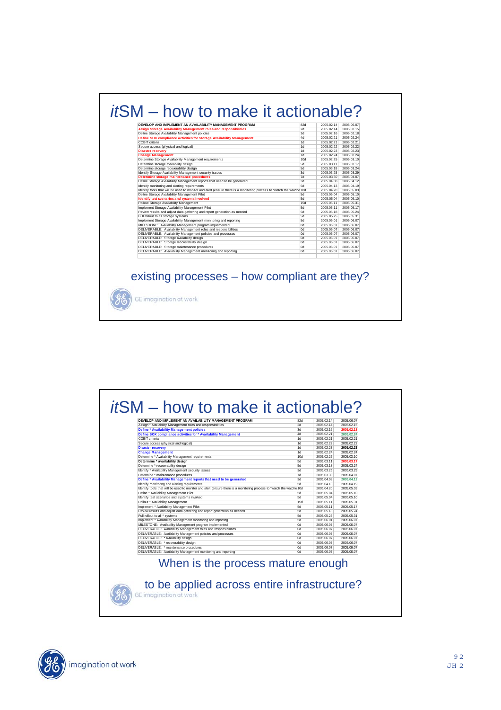| 2d<br>3d<br>4d<br>1 <sub>d</sub><br>1d<br>1d | 2005.02.14<br>2005.02.16<br>2005.02.21<br>2005.02.21<br>2005.02.22                                                                                                                                                                                                  | 2005.02.15<br>2005.02.18<br>2005.02.24<br>2005.02.21                                                                                                                                                                                                                                               |
|----------------------------------------------|---------------------------------------------------------------------------------------------------------------------------------------------------------------------------------------------------------------------------------------------------------------------|----------------------------------------------------------------------------------------------------------------------------------------------------------------------------------------------------------------------------------------------------------------------------------------------------|
|                                              |                                                                                                                                                                                                                                                                     |                                                                                                                                                                                                                                                                                                    |
|                                              |                                                                                                                                                                                                                                                                     |                                                                                                                                                                                                                                                                                                    |
|                                              |                                                                                                                                                                                                                                                                     |                                                                                                                                                                                                                                                                                                    |
|                                              |                                                                                                                                                                                                                                                                     |                                                                                                                                                                                                                                                                                                    |
|                                              |                                                                                                                                                                                                                                                                     | 2005.02.22                                                                                                                                                                                                                                                                                         |
|                                              | 2005.02.23                                                                                                                                                                                                                                                          | 2005.02.23                                                                                                                                                                                                                                                                                         |
| 1d                                           | 2005.02.24                                                                                                                                                                                                                                                          | 2005.02.24                                                                                                                                                                                                                                                                                         |
| 10d                                          | 2005.02.25                                                                                                                                                                                                                                                          | 2005.03.10                                                                                                                                                                                                                                                                                         |
|                                              |                                                                                                                                                                                                                                                                     | 2005.03.17                                                                                                                                                                                                                                                                                         |
|                                              |                                                                                                                                                                                                                                                                     | 2005.03.24                                                                                                                                                                                                                                                                                         |
|                                              |                                                                                                                                                                                                                                                                     | 2005.03.29                                                                                                                                                                                                                                                                                         |
|                                              |                                                                                                                                                                                                                                                                     | 2005.04.07                                                                                                                                                                                                                                                                                         |
|                                              |                                                                                                                                                                                                                                                                     | 2005.04.12                                                                                                                                                                                                                                                                                         |
|                                              |                                                                                                                                                                                                                                                                     | 2005.04.19                                                                                                                                                                                                                                                                                         |
|                                              |                                                                                                                                                                                                                                                                     | 2005.05.03                                                                                                                                                                                                                                                                                         |
|                                              |                                                                                                                                                                                                                                                                     | 2005.05.10                                                                                                                                                                                                                                                                                         |
|                                              |                                                                                                                                                                                                                                                                     | 2005.05.10                                                                                                                                                                                                                                                                                         |
|                                              |                                                                                                                                                                                                                                                                     | 2005.05.31                                                                                                                                                                                                                                                                                         |
|                                              |                                                                                                                                                                                                                                                                     | 2005.05.17                                                                                                                                                                                                                                                                                         |
|                                              |                                                                                                                                                                                                                                                                     | 2005.05.24                                                                                                                                                                                                                                                                                         |
|                                              |                                                                                                                                                                                                                                                                     | 2005.05.31                                                                                                                                                                                                                                                                                         |
|                                              |                                                                                                                                                                                                                                                                     | 2005.06.07                                                                                                                                                                                                                                                                                         |
|                                              |                                                                                                                                                                                                                                                                     | 2005.06.07<br>2005.06.07                                                                                                                                                                                                                                                                           |
|                                              |                                                                                                                                                                                                                                                                     | 2005.06.07                                                                                                                                                                                                                                                                                         |
|                                              |                                                                                                                                                                                                                                                                     | 2005.06.07                                                                                                                                                                                                                                                                                         |
|                                              |                                                                                                                                                                                                                                                                     | 2005.06.07                                                                                                                                                                                                                                                                                         |
|                                              |                                                                                                                                                                                                                                                                     | 2005.06.07                                                                                                                                                                                                                                                                                         |
|                                              |                                                                                                                                                                                                                                                                     | 2005.06.07                                                                                                                                                                                                                                                                                         |
|                                              |                                                                                                                                                                                                                                                                     |                                                                                                                                                                                                                                                                                                    |
|                                              | 5d<br>5d<br>3d<br>7d<br>3d<br>5d<br>Identify tools that will be used to monitor and alert (ensure there is a monitoring process to "watch the watche 10d<br>5d<br>5d<br>15d<br>5d<br>5d<br>5d<br>5d<br>0d<br><b>Ord</b><br>Od<br>Od<br><b>Od</b><br><b>Od</b><br>Od | 2005.03.11<br>2005.03.18<br>2005.03.25<br>2005.03.30<br>2005.04.08<br>2005.04.13<br>2005.04.20<br>2005.05.04<br>2005.05.04<br>2005.05.11<br>2005.05.11<br>2005.05.18<br>2005.05.25<br>2005.06.01<br>2005.06.07<br>2005.06.07<br>2005.06.07<br>2005.06.07<br>2005.06.07<br>2005.06.07<br>2005.06.07 |

| Assign * Availability Management roles and responsibilities<br><b>Define * Availability Management policies</b><br>Define SOX compliance activities for * Availability Management<br>COBIT criteria | 2d<br>3d<br>4d | 2005.02.14<br>2005.02.16 | 2005.02.15               |
|-----------------------------------------------------------------------------------------------------------------------------------------------------------------------------------------------------|----------------|--------------------------|--------------------------|
|                                                                                                                                                                                                     |                |                          |                          |
|                                                                                                                                                                                                     |                |                          | 2005.02.18               |
|                                                                                                                                                                                                     |                | 2005.02.21               | 2005.02.24               |
|                                                                                                                                                                                                     | 1d             | 2005.02.21               | 2005.02.21               |
| Secure access (physical and logical)                                                                                                                                                                | 1d             | 2005.02.22               | 2005.02.22               |
| <b>Disaster recovery</b>                                                                                                                                                                            | 1d             | 2005.02.23               | 2005.02.23               |
| <b>Change Management</b>                                                                                                                                                                            | 1d             | 2005.02.24               | 2005.02.24               |
| Determine * Availability Management requirements                                                                                                                                                    | 10d            | 2005.02.25               | 2005.03.10               |
| Determine * availability design                                                                                                                                                                     | 5d             | 2005.03.11               | 2005.03.17               |
| Determine * recoverability design                                                                                                                                                                   | 5d             | 2005.03.18               | 2005.03.24               |
| Identify * Availability Management security issues                                                                                                                                                  | 3d<br>7d       | 2005.03.25<br>2005.03.30 | 2005.03.29<br>2005.04.07 |
| Determine * maintenance procedures                                                                                                                                                                  | 3d             | 2005.04.08               | 2005.04.12               |
| Define * Availability Management reports that need to be generated<br>Identify monitoring and alerting requirements                                                                                 | 5d             | 2005.04.13               | 2005.04.19               |
| Identify tools that will be used to monitor and alert (ensure there is a monitoring process to "watch the watche 10d                                                                                |                | 2005.04.20               | 2005.05.03               |
| Define * Availability Management Pilot                                                                                                                                                              | 5d             | 2005.05.04               | 2005.05.10               |
| Identify test scenarios and systems involved                                                                                                                                                        | 5d             | 2005.05.04               | 2005.05.10               |
| Rollout * Availability Management                                                                                                                                                                   | <b>15d</b>     | 2005.05.11               | 2005.05.31               |
| Implement * Availability Management Pilot                                                                                                                                                           | 5d             | 2005.05.11               | 2005.05.17               |
| Review results and adjust data gathering and report generation as needed                                                                                                                            | 5d             | 2005.05.18               | 2005.05.24               |
| Full rollout to all * systems                                                                                                                                                                       | 5d             | 2005.05.25               | 2005.05.31               |
| Implement * Availability Management monitoring and reporting                                                                                                                                        | 5d             | 2005.06.01               | 2005.06.07               |
| MILESTONE: Availability Management program implemented                                                                                                                                              | n <sub>0</sub> | 2005.06.07               | 2005.06.07               |
| DELIVERABLE: Availability Management roles and responsibilities                                                                                                                                     | 0d             | 2005.06.07               | 2005.06.07               |
| DELIVERABLE: Availability Management policies and processes                                                                                                                                         | l Ord          | 2005.06.07               | 2005.06.07               |
| DELIVERABLE: * availability design                                                                                                                                                                  | l Ord          | 2005.06.07               | 2005.06.07               |
| DELIVERABLE: * recoverability design                                                                                                                                                                | l Ord          | 2005.06.07               | 2005.06.07               |
| DELIVERABLE: * maintenance procedures                                                                                                                                                               | l0d            | 2005.06.07               | 2005.06.07               |
| DELIVERABLE: Availability Management monitoring and reporting                                                                                                                                       | n <sub>0</sub> | 2005.06.07               | 2005.06.07               |

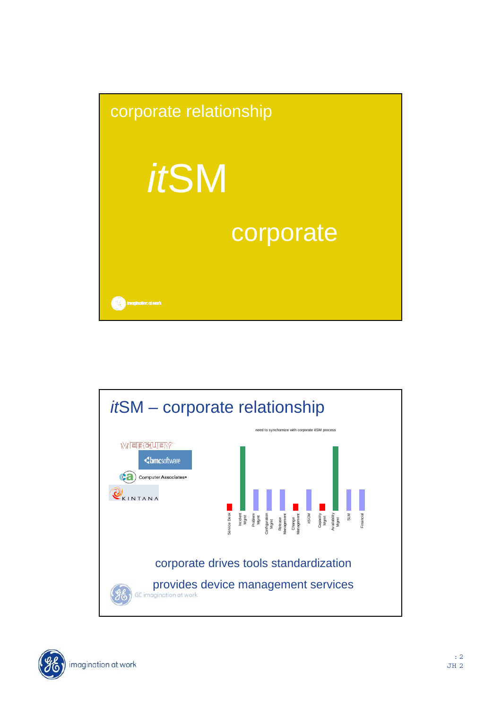